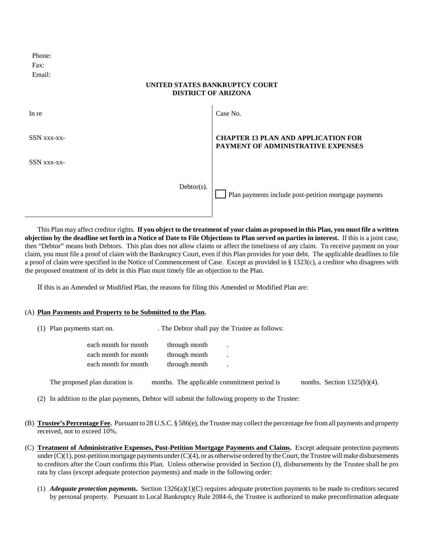| Phone: |  |
|--------|--|
| Fax:   |  |
| Email: |  |

## **UNITED STATES BANKRUPTCY COURT DISTRICT OF ARIZONA**

| In re       |               | Case No.                                                                         |
|-------------|---------------|----------------------------------------------------------------------------------|
| SSN xxx-xx- |               | <b>CHAPTER 13 PLAN AND APPLICATION FOR</b><br>PAYMENT OF ADMINISTRATIVE EXPENSES |
| SSN xxx-xx- |               |                                                                                  |
|             | $Dektor(s)$ . | Plan payments include post-petition mortgage payments                            |

This Plan may affect creditor rights. **If you object to the treatment of your claim as proposed in this Plan, you must file a written objection by the deadline set forth in a Notice of Date to File Objections to Plan served on parties in interest.** If this is a joint case, then "Debtor" means both Debtors. This plan does not allow claims or affect the timeliness of any claim. To receive payment on your claim, you must file a proof of claim with the Bankruptcy Court, even if this Plan provides for your debt. The applicable deadlines to file a proof of claim were specified in the Notice of Commencement of Case. Except as provided in § 1323(c), a creditor who disagrees with the proposed treatment of its debt in this Plan must timely file an objection to the Plan.

If this is an Amended or Modified Plan, the reasons for filing this Amended or Modified Plan are:

## (A) **Plan Payments and Property to be Submitted to the Plan.**

| (1) Plan payments start on.   | . The Debtor shall pay the Trustee as follows: |  |                                |
|-------------------------------|------------------------------------------------|--|--------------------------------|
| each month for month          | through month                                  |  |                                |
| each month for month          | through month                                  |  |                                |
| each month for month          | through month                                  |  |                                |
| The proposed plan duration is | months. The applicable commitment period is    |  | nonths. Section $1325(b)(4)$ . |

- (2) In addition to the plan payments, Debtor will submit the following property to the Trustee:
- (B) **Trustee's Percentage Fee.** Pursuant to 28 U.S.C. § 586(e), the Trustee may collect the percentage fee from all payments and property received, not to exceed 10%.
- (C) **Treatment of Administrative Expenses, Post-Petition Mortgage Payments and Claims.** Except adequate protection payments under  $(C)(1)$ , post-petition mortgage payments under  $(C)(4)$ , or as otherwise ordered by the Court, the Trustee will make disbursements to creditors after the Court confirms this Plan. Unless otherwise provided in Section (J), disbursements by the Trustee shall be pro rata by class (except adequate protection payments) and made in the following order:
	- (1) *Adequate protection payments***.** Section 1326(a)(1)(C) requires adequate protection payments to be made to creditors secured by personal property. Pursuant to Local Bankruptcy Rule 2084-6, the Trustee is authorized to make preconfirmation adequate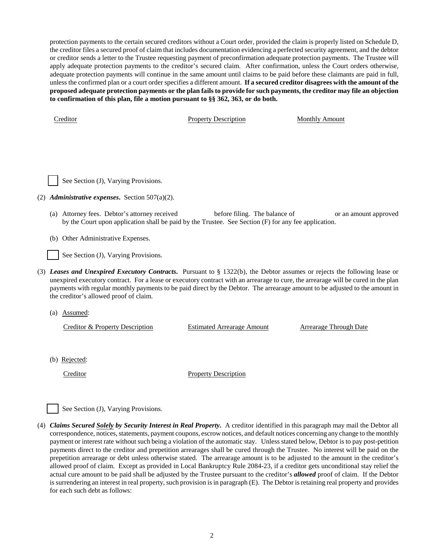protection payments to the certain secured creditors without a Court order, provided the claim is properly listed on Schedule D, the creditor files a secured proof of claim that includes documentation evidencing a perfected security agreement, and the debtor or creditor sends a letter to the Trustee requesting payment of preconfirmation adequate protection payments. The Trustee will apply adequate protection payments to the creditor's secured claim. After confirmation, unless the Court orders otherwise, adequate protection payments will continue in the same amount until claims to be paid before these claimants are paid in full, unless the confirmed plan or a court order specifies a different amount. **If a secured creditor disagrees with the amount of the proposed adequate protection payments or the plan fails to provide for such payments, the creditor may file an objection to confirmation of this plan, file a motion pursuant to §§ 362, 363, or do both.**

Creditor **Property Description** Monthly Amount



- (2) *Administrative expenses***.** Section 507(a)(2).
	- (a) Attorney fees. Debtor's attorney received before filing. The balance of or an amount approved by the Court upon application shall be paid by the Trustee. See Section (F) for any fee application.
	- (b) Other Administrative Expenses.

See Section (J), Varying Provisions.

- (3) *Leases and Unexpired Executory Contracts***.** Pursuant to § 1322(b), the Debtor assumes or rejects the following lease or unexpired executory contract. For a lease or executory contract with an arrearage to cure, the arrearage will be cured in the plan payments with regular monthly payments to be paid direct by the Debtor. The arrearage amount to be adjusted to the amount in the creditor's allowed proof of claim.
	- (a) Assumed:

Creditor & Property Description Estimated Arrearage Amount Arrearage Through Date

(b) Rejected:

Creditor Property Description

See Section (J), Varying Provisions.

(4) *Claims Secured Solely by Security Interest in Real Property***.** A creditor identified in this paragraph may mail the Debtor all correspondence, notices, statements, payment coupons, escrow notices, and default notices concerning any change to the monthly payment or interest rate without such being a violation of the automatic stay. Unless stated below, Debtor is to pay post-petition payments direct to the creditor and prepetition arrearages shall be cured through the Trustee. No interest will be paid on the prepetition arrearage or debt unless otherwise stated. The arrearage amount is to be adjusted to the amount in the creditor's allowed proof of claim. Except as provided in Local Bankruptcy Rule 2084-23, if a creditor gets unconditional stay relief the actual cure amount to be paid shall be adjusted by the Trustee pursuant to the creditor's *allowed* proof of claim. If the Debtor is surrendering an interest in real property, such provision is in paragraph (E). The Debtor is retaining real property and provides for each such debt as follows: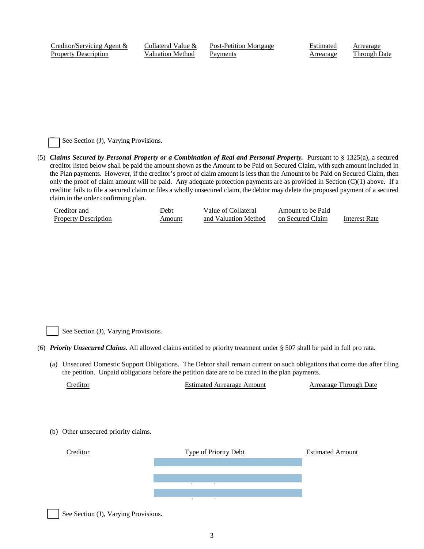Creditor/Servicing Agent & Property Description

Collateral Value & Valuation Method

Post-Petition Mortgage Payments

Estimated Arrearage Arrearage Through Date

See Section (J), Varying Provisions.

(5) *Claims Secured by Personal Property or a Combination of Real and Personal Property.* Pursuant to § 1325(a), a secured creditor listed below shall be paid the amount shown as the Amount to be Paid on Secured Claim, with such amount included in the Plan payments. However, if the creditor's proof of claim amount is less than the Amount to be Paid on Secured Claim, then only the proof of claim amount will be paid. Any adequate protection payments are as provided in Section  $(C)(1)$  above. If a creditor fails to file a secured claim or files a wholly unsecured claim, the debtor may delete the proposed payment of a secured claim in the order confirming plan.

| Creditor and                | Jebt   | Value of Collateral  | Amount to be Paid |               |
|-----------------------------|--------|----------------------|-------------------|---------------|
| <b>Property Description</b> | Amount | and Valuation Method | on Secured Claim  | Interest Rate |

See Section (J), Varying Provisions.

- (6) *Priority Unsecured Claims.* All allowed claims entitled to priority treatment under § 507 shall be paid in full pro rata.
	- (a) Unsecured Domestic Support Obligations. The Debtor shall remain current on such obligations that come due after filing the petition. Unpaid obligations before the petition date are to be cured in the plan payments.

Creditor Estimated Arrearage Amount Arrearage Through Date

(b) Other unsecured priority claims.



See Section (J), Varying Provisions.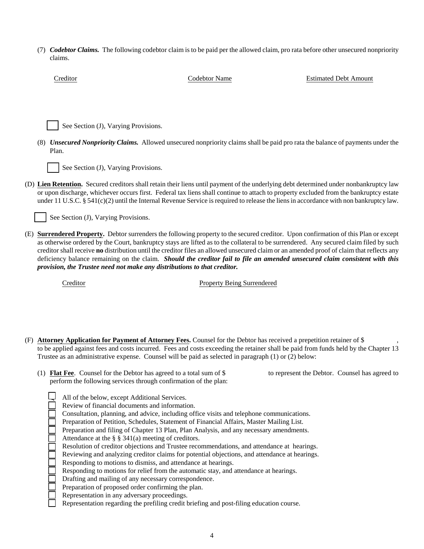(7) *Codebtor Claims.* The following codebtor claim is to be paid per the allowed claim, pro rata before other unsecured nonpriority claims.

| Creditor                             | <b>Codebtor Name</b>                                                                                                                                                                                                                                                                                                                                                                                                                                                                                                                                                                                                                   | <b>Estimated Debt Amount</b> |
|--------------------------------------|----------------------------------------------------------------------------------------------------------------------------------------------------------------------------------------------------------------------------------------------------------------------------------------------------------------------------------------------------------------------------------------------------------------------------------------------------------------------------------------------------------------------------------------------------------------------------------------------------------------------------------------|------------------------------|
|                                      |                                                                                                                                                                                                                                                                                                                                                                                                                                                                                                                                                                                                                                        |                              |
|                                      |                                                                                                                                                                                                                                                                                                                                                                                                                                                                                                                                                                                                                                        |                              |
| See Section (J), Varying Provisions. |                                                                                                                                                                                                                                                                                                                                                                                                                                                                                                                                                                                                                                        |                              |
| Plan.                                | (8) Unsecured Nonpriority Claims. Allowed unsecured nonpriority claims shall be paid pro rata the balance of payments under the                                                                                                                                                                                                                                                                                                                                                                                                                                                                                                        |                              |
| See Section (J), Varying Provisions. |                                                                                                                                                                                                                                                                                                                                                                                                                                                                                                                                                                                                                                        |                              |
|                                      | (D) Lien Retention. Secured creditors shall retain their liens until payment of the underlying debt determined under nonbankruptcy law<br>or upon discharge, whichever occurs first. Federal tax liens shall continue to attach to property excluded from the bankruptcy estate<br>under 11 U.S.C. § 541(c)(2) until the Internal Revenue Service is required to release the liens in accordance with non bankruptcy law.                                                                                                                                                                                                              |                              |
| See Section (J), Varying Provisions. |                                                                                                                                                                                                                                                                                                                                                                                                                                                                                                                                                                                                                                        |                              |
|                                      | (E) Surrendered Property. Debtor surrenders the following property to the secured creditor. Upon confirmation of this Plan or except<br>as otherwise ordered by the Court, bankruptcy stays are lifted as to the collateral to be surrendered. Any secured claim filed by such<br>creditor shall receive no distribution until the creditor files an allowed unsecured claim or an amended proof of claim that reflects any<br>deficiency balance remaining on the claim. Should the creditor fail to file an amended unsecured claim consistent with this<br>provision, the Trustee need not make any distributions to that creditor. |                              |
| Creditor                             | <b>Property Being Surrendered</b>                                                                                                                                                                                                                                                                                                                                                                                                                                                                                                                                                                                                      |                              |
|                                      |                                                                                                                                                                                                                                                                                                                                                                                                                                                                                                                                                                                                                                        |                              |
|                                      |                                                                                                                                                                                                                                                                                                                                                                                                                                                                                                                                                                                                                                        |                              |
|                                      | (F) Attorney Application for Payment of Attorney Fees. Counsel for the Debtor has received a prepetition retainer of \$<br>to be applied against fees and costs incurred. Fees and costs exceeding the retainer shall be paid from funds held by the Chapter 13<br>Trustee as an administrative expense. Counsel will be paid as selected in paragraph (1) or (2) below:                                                                                                                                                                                                                                                               |                              |

(1) **Flat Fee**. Counsel for the Debtor has agreed to a total sum of \$ to represent the Debtor. Counsel has agreed to perform the following services through confirmation of the plan:

| All of the below, except Additional Services.                                                 |
|-----------------------------------------------------------------------------------------------|
| Review of financial documents and information.                                                |
| Consultation, planning, and advice, including office visits and telephone communications.     |
| Preparation of Petition, Schedules, Statement of Financial Affairs, Master Mailing List.      |
| Preparation and filing of Chapter 13 Plan, Plan Analysis, and any necessary amendments.       |
| Attendance at the $\S$ $\S$ 341(a) meeting of creditors.                                      |
| Resolution of creditor objections and Trustee recommendations, and attendance at hearings.    |
| Reviewing and analyzing creditor claims for potential objections, and attendance at hearings. |
| Responding to motions to dismiss, and attendance at hearings.                                 |
| Responding to motions for relief from the automatic stay, and attendance at hearings.         |
| Drafting and mailing of any necessary correspondence.                                         |
| Preparation of proposed order confirming the plan.                                            |
| Representation in any adversary proceedings.                                                  |
| Representation regarding the prefiling credit briefing and post-filing education course.      |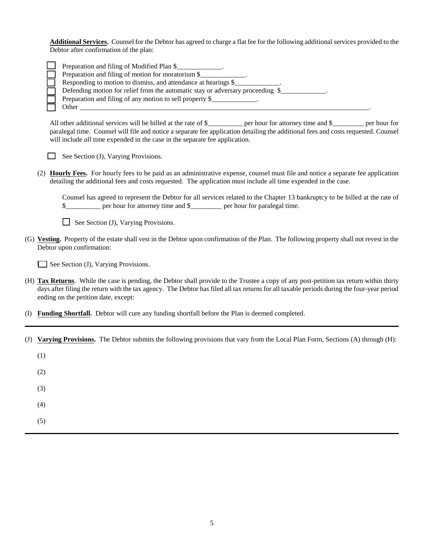**Additional Services.** Counsel for the Debtor has agreed to charge a flat fee for the following additional services provided to the Debtor after confirmation of the plan:

| Preparation and filing of Modified Plan \$                                     |
|--------------------------------------------------------------------------------|
| Preparation and filing of motion for moratorium \$                             |
| Responding to motion to dismiss, and attendance at hearings \$                 |
| Defending motion for relief from the automatic stay or adversary proceeding \$ |
| Preparation and filing of any motion to sell property \$                       |
| Other                                                                          |

All other additional services will be billed at the rate of \$\_\_\_\_\_\_\_\_ per hour for attorney time and \$\_\_\_\_\_\_\_ per hour for paralegal time. Counsel will file and notice a separate fee application detailing the additional fees and costs requested. Counsel will include *all* time expended in the case in the separate fee application.

 $\Box$  See Section (J), Varying Provisions.

(2) **Hourly Fees.** For hourly fees to be paid as an administrative expense, counsel must file and notice a separate fee application detailing the additional fees and costs requested. The application must include all time expended in the case.

Counsel has agreed to represent the Debtor for all services related to the Chapter 13 bankruptcy to be billed at the rate of \$\_\_\_\_\_\_\_\_\_\_ per hour for attorney time and \$\_\_\_\_\_\_\_\_\_ per hour for paralegal time.

 $\Box$  See Section (J), Varying Provisions.

(G) **Vesting.** Property of the estate shall vest in the Debtor upon confirmation of the Plan. The following property shall not revest in the Debtor upon confirmation:

See Section (J), Varying Provisions.

- (H) **Tax Returns**. While the case is pending, the Debtor shall provide to the Trustee a copy of any post-petition tax return within thirty days after filing the return with the tax agency. The Debtor has filed all tax returns for all taxable periods during the four-year period ending on the petition date, except:
- (I) **Funding Shortfall.** Debtor will cure any funding shortfall before the Plan is deemed completed.
- (J) **Varying Provisions.** The Debtor submits the following provisions that vary from the Local Plan Form, Sections (A) through (H):

(1)

(2)

(3)

(4)

(5)